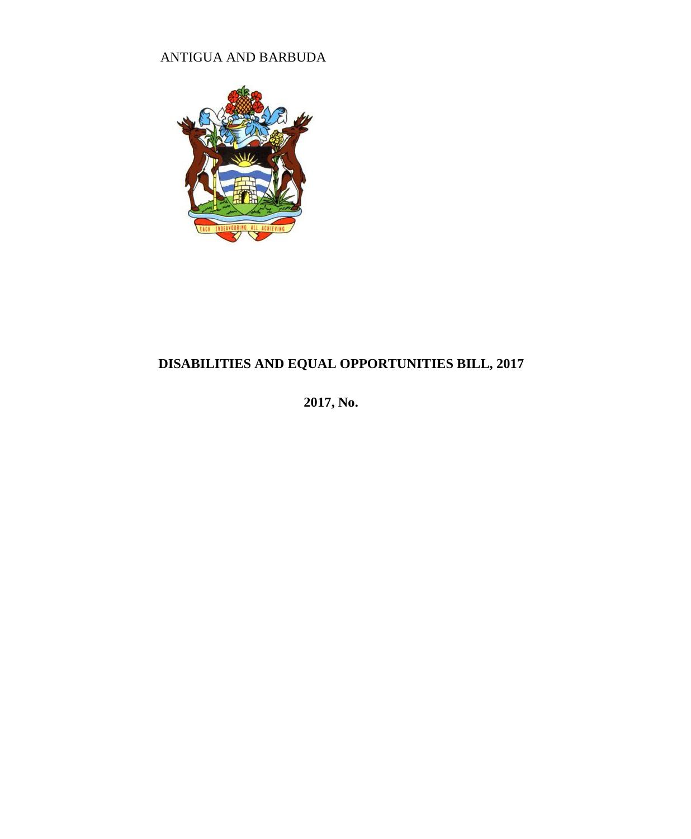# ANTIGUA AND BARBUDA



# **DISABILITIES AND EQUAL OPPORTUNITIES BILL, 2017**

**2017, No.**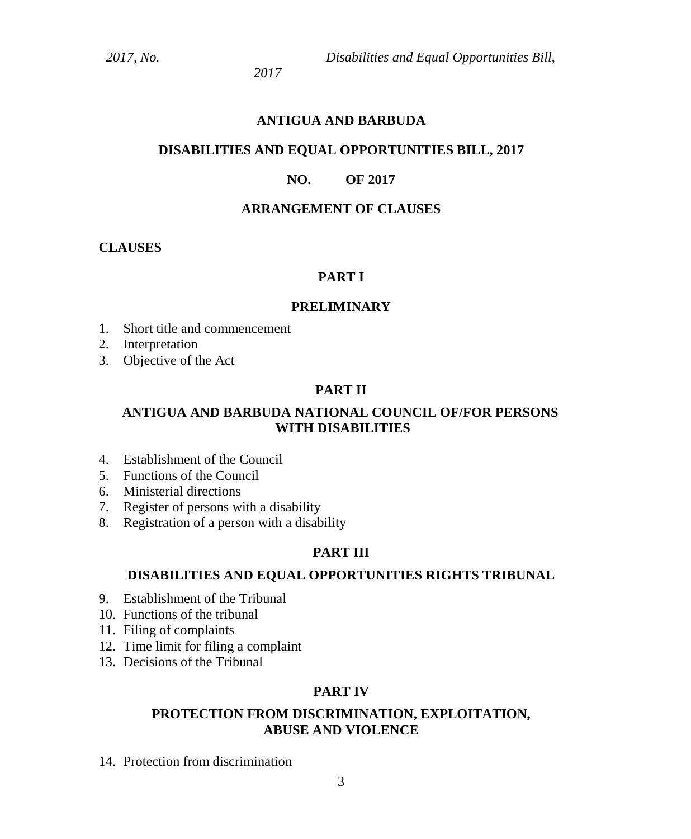*2017, No. Disabilities and Equal Opportunities Bill,*

*2017*

### **ANTIGUA AND BARBUDA**

### **DISABILITIES AND EQUAL OPPORTUNITIES BILL, 2017**

### **NO. OF 2017**

### **ARRANGEMENT OF CLAUSES**

### **CLAUSES**

### **PART I**

#### **PRELIMINARY**

- 1. Short title and commencement
- 2. Interpretation
- 3. Objective of the Act

### **PART II**

### **ANTIGUA AND BARBUDA NATIONAL COUNCIL OF/FOR PERSONS WITH DISABILITIES**

- 4. Establishment of the Council
- 5. Functions of the Council
- 6. Ministerial directions
- 7. Register of persons with a disability
- 8. Registration of a person with a disability

#### **PART III**

# **DISABILITIES AND EQUAL OPPORTUNITIES RIGHTS TRIBUNAL**

- 9. Establishment of the Tribunal
- 10. Functions of the tribunal
- 11. Filing of complaints
- 12. Time limit for filing a complaint
- 13. Decisions of the Tribunal

#### **PART IV**

### **PROTECTION FROM DISCRIMINATION, EXPLOITATION, ABUSE AND VIOLENCE**

14. Protection from discrimination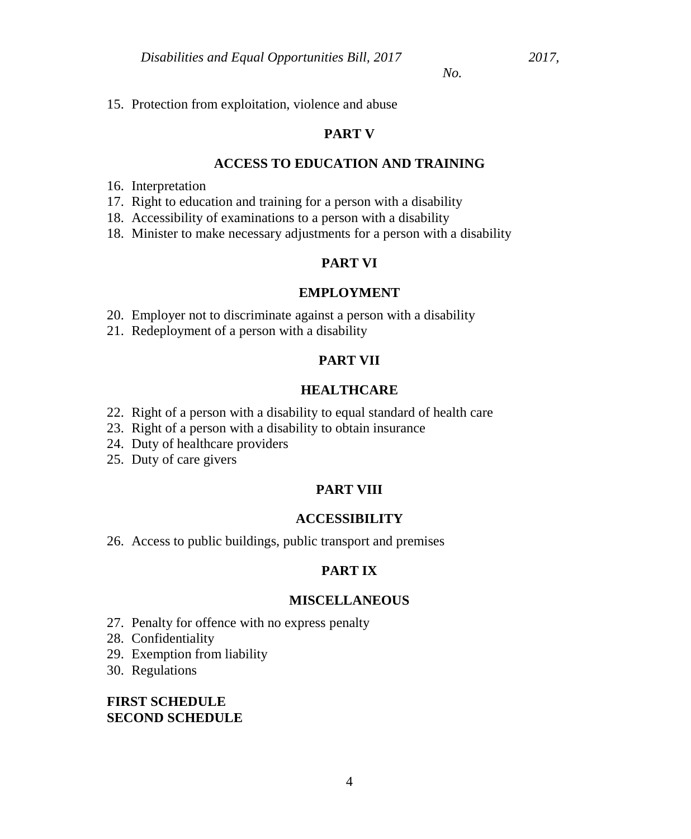15. Protection from exploitation, violence and abuse

### **PART V**

#### **ACCESS TO EDUCATION AND TRAINING**

- 16. Interpretation
- 17. Right to education and training for a person with a disability
- 18. Accessibility of examinations to a person with a disability
- 18. Minister to make necessary adjustments for a person with a disability

### **PART VI**

#### **EMPLOYMENT**

- 20. Employer not to discriminate against a person with a disability
- 21. Redeployment of a person with a disability

# **PART VII**

#### **HEALTHCARE**

- 22. Right of a person with a disability to equal standard of health care
- 23. Right of a person with a disability to obtain insurance
- 24. Duty of healthcare providers
- 25. Duty of care givers

### **PART VIII**

#### **ACCESSIBILITY**

26. Access to public buildings, public transport and premises

#### **PART IX**

#### **MISCELLANEOUS**

- 27. Penalty for offence with no express penalty
- 28. Confidentiality
- 29. Exemption from liability
- 30. Regulations

### **FIRST SCHEDULE SECOND SCHEDULE**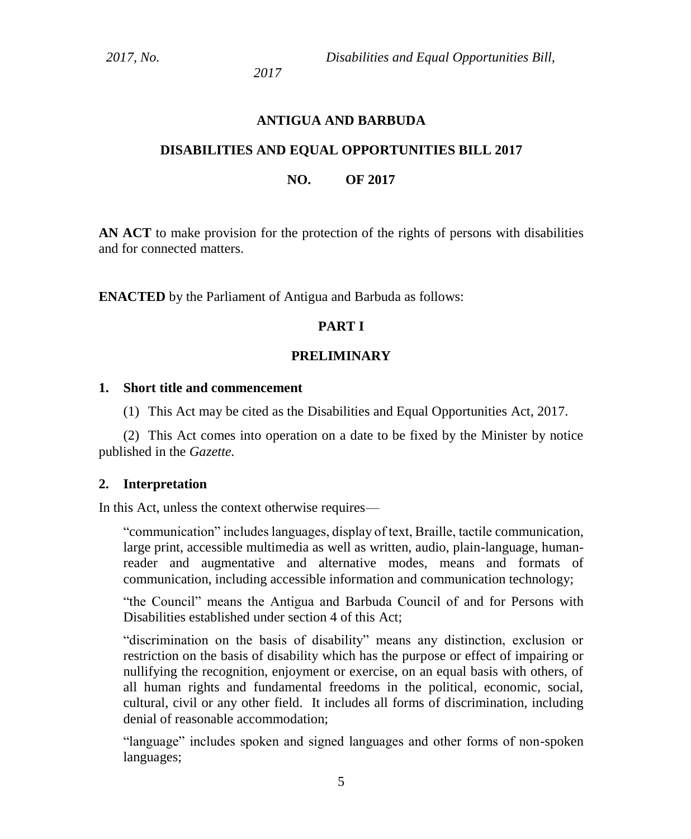*2017, No. Disabilities and Equal Opportunities Bill,*

*2017*

### **ANTIGUA AND BARBUDA**

### **DISABILITIES AND EQUAL OPPORTUNITIES BILL 2017**

### **NO. OF 2017**

**AN ACT** to make provision for the protection of the rights of persons with disabilities and for connected matters.

**ENACTED** by the Parliament of Antigua and Barbuda as follows:

### **PART I**

### **PRELIMINARY**

### **1. Short title and commencement**

(1) This Act may be cited as the Disabilities and Equal Opportunities Act, 2017.

(2) This Act comes into operation on a date to be fixed by the Minister by notice published in the *Gazette.*

### **2. Interpretation**

In this Act, unless the context otherwise requires—

"communication" includes languages, display of text, Braille, tactile communication, large print, accessible multimedia as well as written, audio, plain-language, humanreader and augmentative and alternative modes, means and formats of communication, including accessible information and communication technology;

"the Council" means the Antigua and Barbuda Council of and for Persons with Disabilities established under section 4 of this Act;

"discrimination on the basis of disability" means any distinction, exclusion or restriction on the basis of disability which has the purpose or effect of impairing or nullifying the recognition, enjoyment or exercise, on an equal basis with others, of all human rights and fundamental freedoms in the political, economic, social, cultural, civil or any other field. It includes all forms of discrimination, including denial of reasonable accommodation;

"language" includes spoken and signed languages and other forms of non-spoken languages;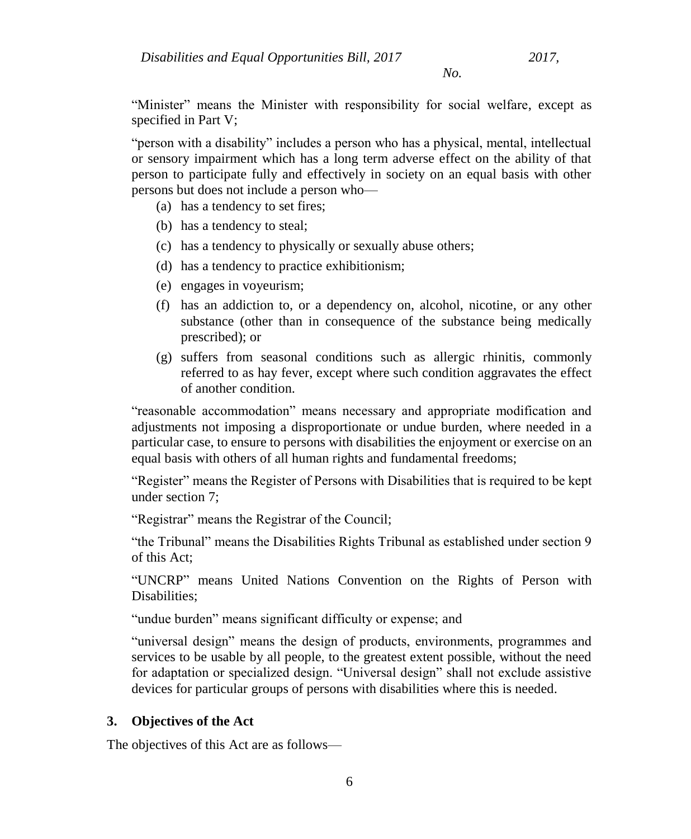"Minister" means the Minister with responsibility for social welfare, except as specified in Part V;

"person with a disability" includes a person who has a physical, mental, intellectual or sensory impairment which has a long term adverse effect on the ability of that person to participate fully and effectively in society on an equal basis with other persons but does not include a person who—

- (a) has a tendency to set fires;
- (b) has a tendency to steal;
- (c) has a tendency to physically or sexually abuse others;
- (d) has a tendency to practice exhibitionism;
- (e) engages in voyeurism;
- (f) has an addiction to, or a dependency on, alcohol, nicotine, or any other substance (other than in consequence of the substance being medically prescribed); or
- (g) suffers from seasonal conditions such as allergic rhinitis, commonly referred to as hay fever, except where such condition aggravates the effect of another condition.

"reasonable accommodation" means necessary and appropriate modification and adjustments not imposing a disproportionate or undue burden, where needed in a particular case, to ensure to persons with disabilities the enjoyment or exercise on an equal basis with others of all human rights and fundamental freedoms;

"Register" means the Register of Persons with Disabilities that is required to be kept under section 7;

"Registrar" means the Registrar of the Council;

"the Tribunal" means the Disabilities Rights Tribunal as established under section 9 of this Act;

"UNCRP" means United Nations Convention on the Rights of Person with Disabilities;

"undue burden" means significant difficulty or expense; and

"universal design" means the design of products, environments, programmes and services to be usable by all people, to the greatest extent possible, without the need for adaptation or specialized design. "Universal design" shall not exclude assistive devices for particular groups of persons with disabilities where this is needed.

# **3. Objectives of the Act**

The objectives of this Act are as follows—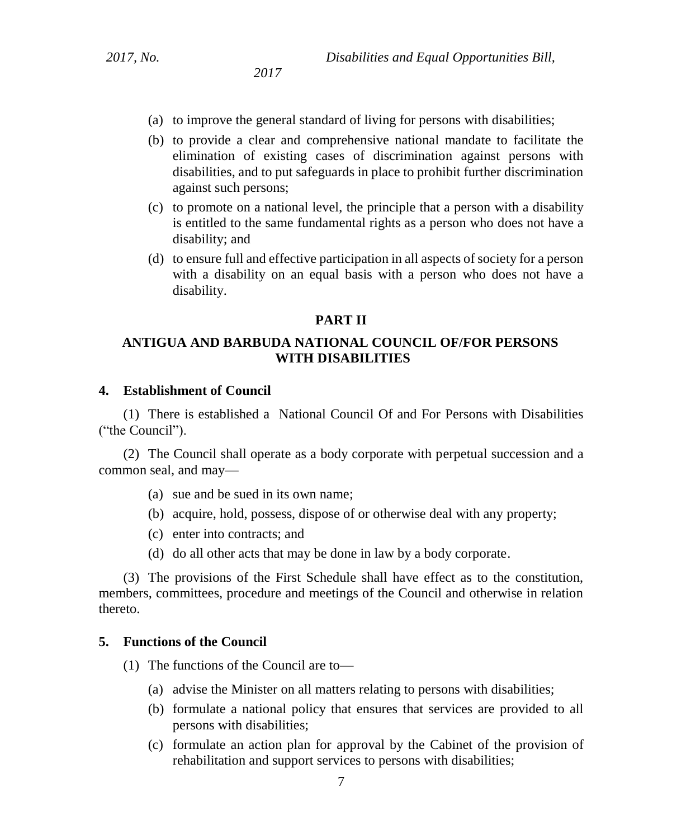- (a) to improve the general standard of living for persons with disabilities;
- (b) to provide a clear and comprehensive national mandate to facilitate the elimination of existing cases of discrimination against persons with disabilities, and to put safeguards in place to prohibit further discrimination against such persons;
- (c) to promote on a national level, the principle that a person with a disability is entitled to the same fundamental rights as a person who does not have a disability; and
- (d) to ensure full and effective participation in all aspects of society for a person with a disability on an equal basis with a person who does not have a disability.

#### **PART II**

### **ANTIGUA AND BARBUDA NATIONAL COUNCIL OF/FOR PERSONS WITH DISABILITIES**

#### **4. Establishment of Council**

(1) There is established a National Council Of and For Persons with Disabilities ("the Council").

(2) The Council shall operate as a body corporate with perpetual succession and a common seal, and may—

- (a) sue and be sued in its own name;
- (b) acquire, hold, possess, dispose of or otherwise deal with any property;
- (c) enter into contracts; and
- (d) do all other acts that may be done in law by a body corporate.

(3) The provisions of the First Schedule shall have effect as to the constitution, members, committees, procedure and meetings of the Council and otherwise in relation thereto.

#### **5. Functions of the Council**

- (1) The functions of the Council are to—
	- (a) advise the Minister on all matters relating to persons with disabilities;
	- (b) formulate a national policy that ensures that services are provided to all persons with disabilities;
	- (c) formulate an action plan for approval by the Cabinet of the provision of rehabilitation and support services to persons with disabilities;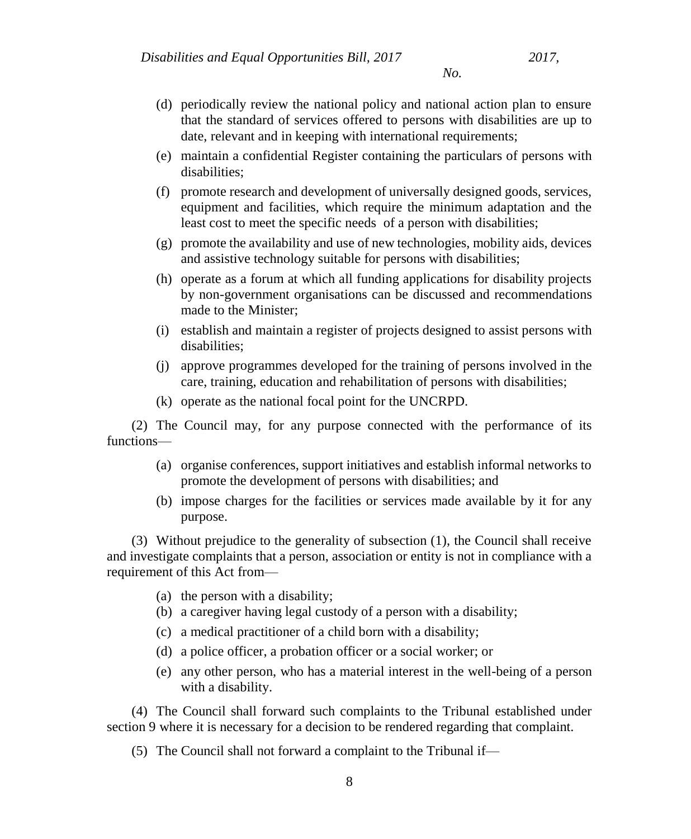- (d) periodically review the national policy and national action plan to ensure that the standard of services offered to persons with disabilities are up to date, relevant and in keeping with international requirements;
- (e) maintain a confidential Register containing the particulars of persons with disabilities;
- (f) promote research and development of universally designed goods, services, equipment and facilities, which require the minimum adaptation and the least cost to meet the specific needs of a person with disabilities;
- (g) promote the availability and use of new technologies, mobility aids, devices and assistive technology suitable for persons with disabilities;
- (h) operate as a forum at which all funding applications for disability projects by non-government organisations can be discussed and recommendations made to the Minister;
- (i) establish and maintain a register of projects designed to assist persons with disabilities;
- (j) approve programmes developed for the training of persons involved in the care, training, education and rehabilitation of persons with disabilities;
- (k) operate as the national focal point for the UNCRPD.

(2) The Council may, for any purpose connected with the performance of its functions—

- (a) organise conferences, support initiatives and establish informal networks to promote the development of persons with disabilities; and
- (b) impose charges for the facilities or services made available by it for any purpose.

(3) Without prejudice to the generality of subsection (1), the Council shall receive and investigate complaints that a person, association or entity is not in compliance with a requirement of this Act from—

- (a) the person with a disability;
- (b) a caregiver having legal custody of a person with a disability;
- (c) a medical practitioner of a child born with a disability;
- (d) a police officer, a probation officer or a social worker; or
- (e) any other person, who has a material interest in the well-being of a person with a disability.

(4) The Council shall forward such complaints to the Tribunal established under section 9 where it is necessary for a decision to be rendered regarding that complaint.

(5) The Council shall not forward a complaint to the Tribunal if—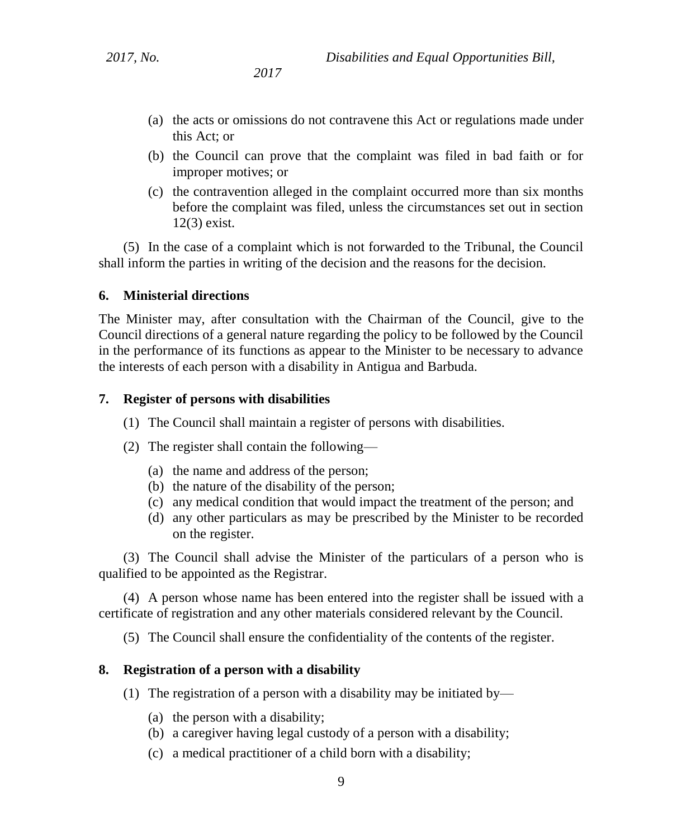- (a) the acts or omissions do not contravene this Act or regulations made under this Act; or
- (b) the Council can prove that the complaint was filed in bad faith or for improper motives; or
- (c) the contravention alleged in the complaint occurred more than six months before the complaint was filed, unless the circumstances set out in section 12(3) exist.

(5) In the case of a complaint which is not forwarded to the Tribunal, the Council shall inform the parties in writing of the decision and the reasons for the decision.

### **6. Ministerial directions**

The Minister may, after consultation with the Chairman of the Council, give to the Council directions of a general nature regarding the policy to be followed by the Council in the performance of its functions as appear to the Minister to be necessary to advance the interests of each person with a disability in Antigua and Barbuda.

### **7. Register of persons with disabilities**

- (1) The Council shall maintain a register of persons with disabilities.
- (2) The register shall contain the following—
	- (a) the name and address of the person;
	- (b) the nature of the disability of the person;
	- (c) any medical condition that would impact the treatment of the person; and
	- (d) any other particulars as may be prescribed by the Minister to be recorded on the register.

(3) The Council shall advise the Minister of the particulars of a person who is qualified to be appointed as the Registrar.

(4) A person whose name has been entered into the register shall be issued with a certificate of registration and any other materials considered relevant by the Council.

(5) The Council shall ensure the confidentiality of the contents of the register.

### **8. Registration of a person with a disability**

- (1) The registration of a person with a disability may be initiated by—
	- (a) the person with a disability;
	- (b) a caregiver having legal custody of a person with a disability;
	- (c) a medical practitioner of a child born with a disability;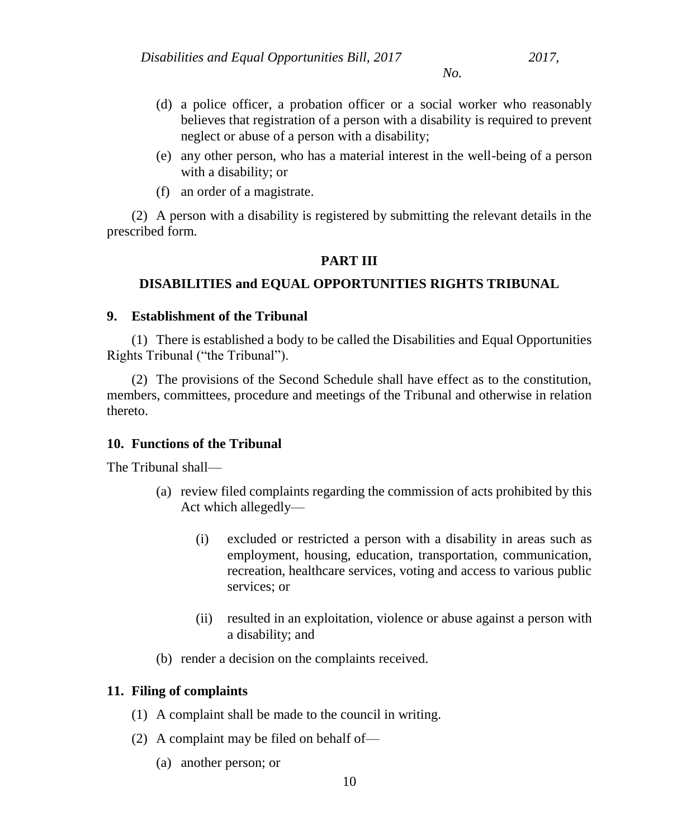- (d) a police officer, a probation officer or a social worker who reasonably believes that registration of a person with a disability is required to prevent neglect or abuse of a person with a disability;
- (e) any other person, who has a material interest in the well-being of a person with a disability; or
- (f) an order of a magistrate.

(2) A person with a disability is registered by submitting the relevant details in the prescribed form.

# **PART III**

# **DISABILITIES and EQUAL OPPORTUNITIES RIGHTS TRIBUNAL**

### **9. Establishment of the Tribunal**

(1) There is established a body to be called the Disabilities and Equal Opportunities Rights Tribunal ("the Tribunal").

(2) The provisions of the Second Schedule shall have effect as to the constitution, members, committees, procedure and meetings of the Tribunal and otherwise in relation thereto.

### **10. Functions of the Tribunal**

The Tribunal shall—

- (a) review filed complaints regarding the commission of acts prohibited by this Act which allegedly—
	- (i) excluded or restricted a person with a disability in areas such as employment, housing, education, transportation, communication, recreation, healthcare services, voting and access to various public services; or
	- (ii) resulted in an exploitation, violence or abuse against a person with a disability; and
- (b) render a decision on the complaints received.

# **11. Filing of complaints**

- (1) A complaint shall be made to the council in writing.
- (2) A complaint may be filed on behalf of—
	- (a) another person; or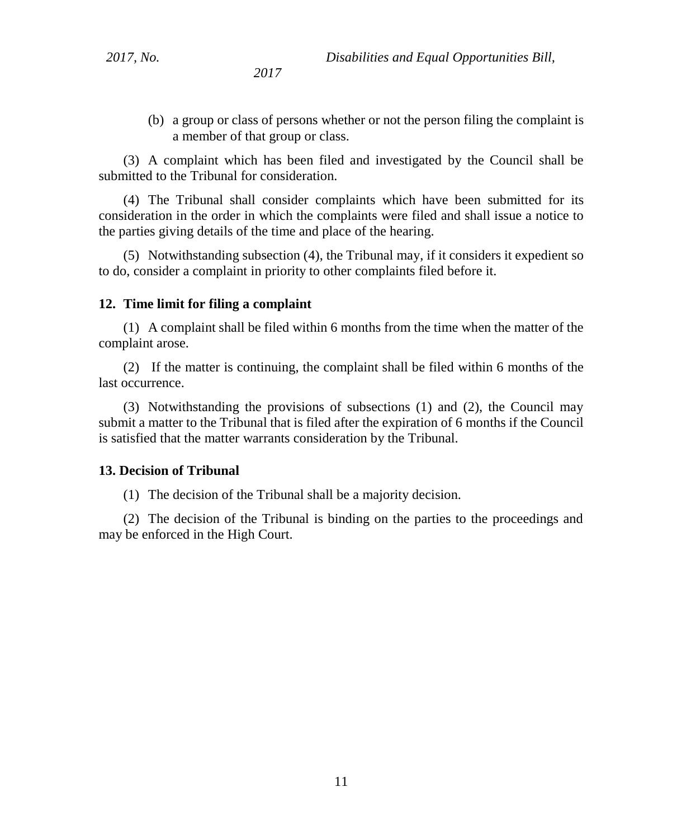(b) a group or class of persons whether or not the person filing the complaint is a member of that group or class.

(3) A complaint which has been filed and investigated by the Council shall be submitted to the Tribunal for consideration.

(4) The Tribunal shall consider complaints which have been submitted for its consideration in the order in which the complaints were filed and shall issue a notice to the parties giving details of the time and place of the hearing.

(5) Notwithstanding subsection (4), the Tribunal may, if it considers it expedient so to do, consider a complaint in priority to other complaints filed before it.

#### **12. Time limit for filing a complaint**

(1) A complaint shall be filed within 6 months from the time when the matter of the complaint arose.

(2) If the matter is continuing, the complaint shall be filed within 6 months of the last occurrence.

(3) Notwithstanding the provisions of subsections (1) and (2), the Council may submit a matter to the Tribunal that is filed after the expiration of 6 months if the Council is satisfied that the matter warrants consideration by the Tribunal.

#### **13. Decision of Tribunal**

(1) The decision of the Tribunal shall be a majority decision.

(2) The decision of the Tribunal is binding on the parties to the proceedings and may be enforced in the High Court.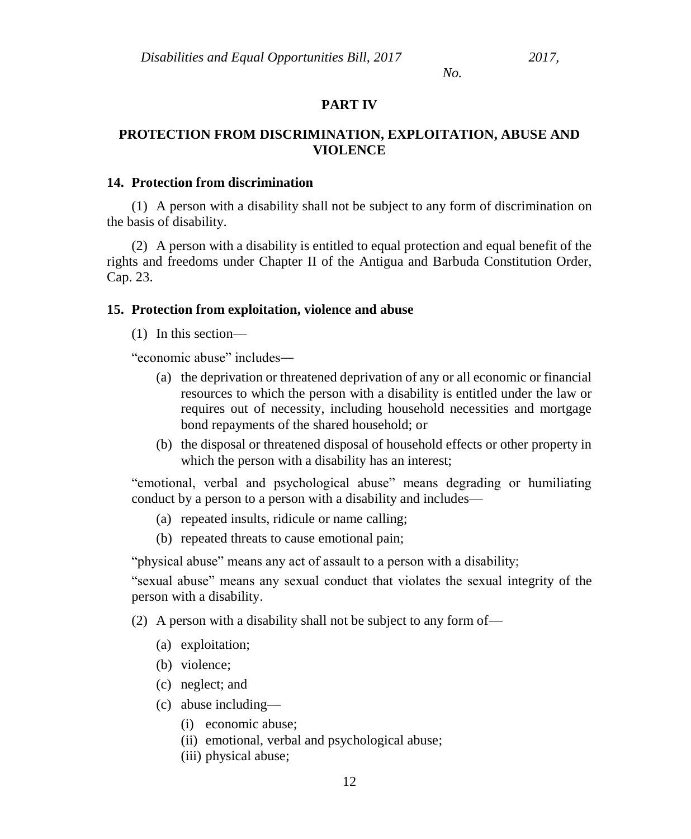#### **PART IV**

### **PROTECTION FROM DISCRIMINATION, EXPLOITATION, ABUSE AND VIOLENCE**

#### **14. Protection from discrimination**

(1) A person with a disability shall not be subject to any form of discrimination on the basis of disability.

(2) A person with a disability is entitled to equal protection and equal benefit of the rights and freedoms under Chapter II of the Antigua and Barbuda Constitution Order, Cap. 23.

#### **15. Protection from exploitation, violence and abuse**

(1) In this section—

"economic abuse" includes―

- (a) the deprivation or threatened deprivation of any or all economic or financial resources to which the person with a disability is entitled under the law or requires out of necessity, including household necessities and mortgage bond repayments of the shared household; or
- (b) the disposal or threatened disposal of household effects or other property in which the person with a disability has an interest;

"emotional, verbal and psychological abuse" means degrading or humiliating conduct by a person to a person with a disability and includes—

- (a) repeated insults, ridicule or name calling;
- (b) repeated threats to cause emotional pain;

"physical abuse" means any act of assault to a person with a disability;

"sexual abuse" means any sexual conduct that violates the sexual integrity of the person with a disability.

(2) A person with a disability shall not be subject to any form of—

- (a) exploitation;
- (b) violence;
- (c) neglect; and
- (c) abuse including—
	- (i) economic abuse;
	- (ii) emotional, verbal and psychological abuse;
	- (iii) physical abuse;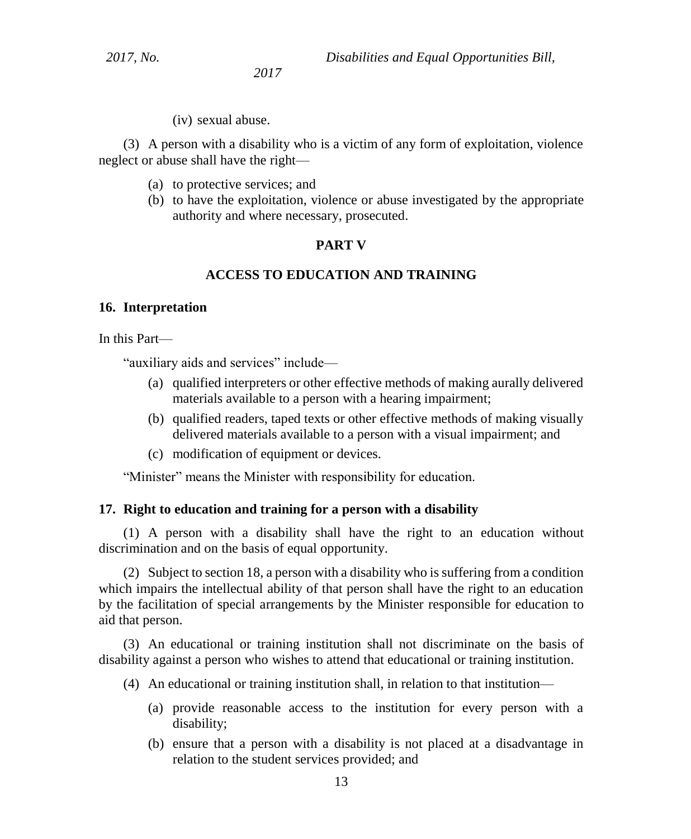*2017, No. Disabilities and Equal Opportunities Bill,*

*2017*

(iv) sexual abuse.

(3) A person with a disability who is a victim of any form of exploitation, violence neglect or abuse shall have the right—

- (a) to protective services; and
- (b) to have the exploitation, violence or abuse investigated by the appropriate authority and where necessary, prosecuted.

### **PART V**

### **ACCESS TO EDUCATION AND TRAINING**

#### **16. Interpretation**

In this Part—

"auxiliary aids and services" include—

- (a) qualified interpreters or other effective methods of making aurally delivered materials available to a person with a hearing impairment;
- (b) qualified readers, taped texts or other effective methods of making visually delivered materials available to a person with a visual impairment; and
- (c) modification of equipment or devices.

"Minister" means the Minister with responsibility for education.

#### **17. Right to education and training for a person with a disability**

(1) A person with a disability shall have the right to an education without discrimination and on the basis of equal opportunity.

(2) Subject to section 18, a person with a disability who is suffering from a condition which impairs the intellectual ability of that person shall have the right to an education by the facilitation of special arrangements by the Minister responsible for education to aid that person.

(3) An educational or training institution shall not discriminate on the basis of disability against a person who wishes to attend that educational or training institution.

- (4) An educational or training institution shall, in relation to that institution—
	- (a) provide reasonable access to the institution for every person with a disability;
	- (b) ensure that a person with a disability is not placed at a disadvantage in relation to the student services provided; and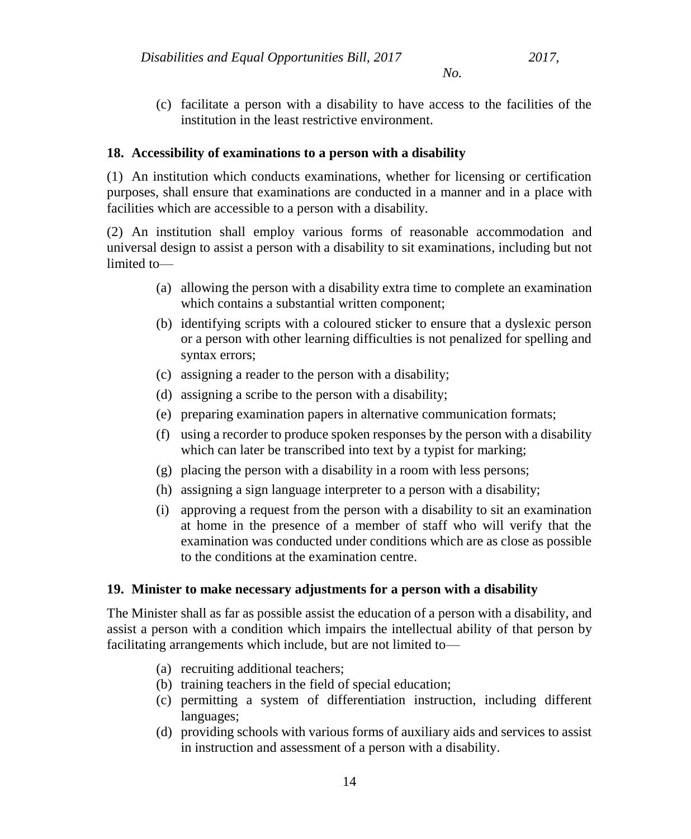- *No.*
- (c) facilitate a person with a disability to have access to the facilities of the institution in the least restrictive environment.

### **18. Accessibility of examinations to a person with a disability**

(1) An institution which conducts examinations, whether for licensing or certification purposes, shall ensure that examinations are conducted in a manner and in a place with facilities which are accessible to a person with a disability.

(2) An institution shall employ various forms of reasonable accommodation and universal design to assist a person with a disability to sit examinations, including but not limited to—

- (a) allowing the person with a disability extra time to complete an examination which contains a substantial written component;
- (b) identifying scripts with a coloured sticker to ensure that a dyslexic person or a person with other learning difficulties is not penalized for spelling and syntax errors;
- (c) assigning a reader to the person with a disability;
- (d) assigning a scribe to the person with a disability;
- (e) preparing examination papers in alternative communication formats;
- (f) using a recorder to produce spoken responses by the person with a disability which can later be transcribed into text by a typist for marking;
- (g) placing the person with a disability in a room with less persons;
- (h) assigning a sign language interpreter to a person with a disability;
- (i) approving a request from the person with a disability to sit an examination at home in the presence of a member of staff who will verify that the examination was conducted under conditions which are as close as possible to the conditions at the examination centre.

# **19. Minister to make necessary adjustments for a person with a disability**

The Minister shall as far as possible assist the education of a person with a disability, and assist a person with a condition which impairs the intellectual ability of that person by facilitating arrangements which include, but are not limited to—

- (a) recruiting additional teachers;
- (b) training teachers in the field of special education;
- (c) permitting a system of differentiation instruction, including different languages;
- (d) providing schools with various forms of auxiliary aids and services to assist in instruction and assessment of a person with a disability.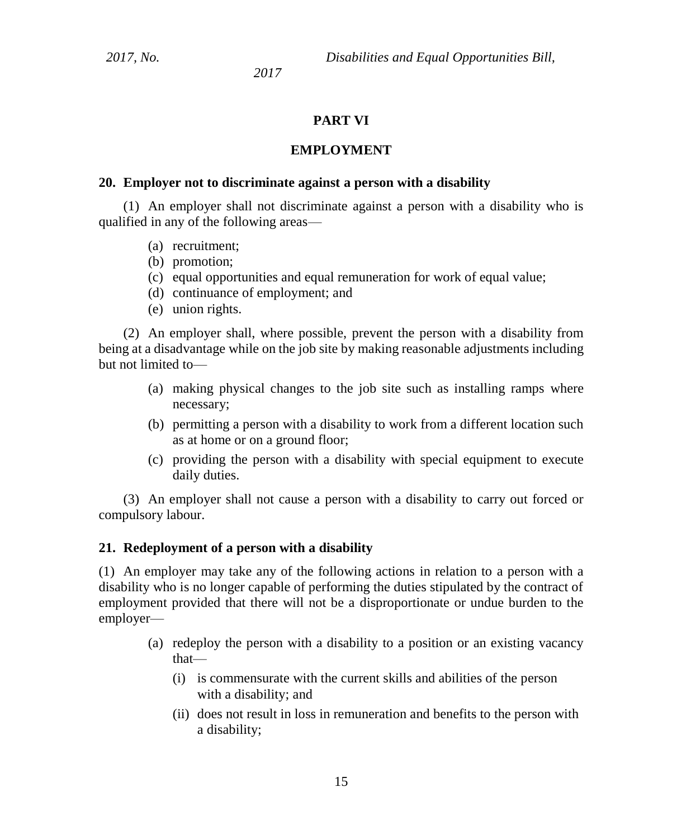### **PART VI**

#### **EMPLOYMENT**

#### **20. Employer not to discriminate against a person with a disability**

(1) An employer shall not discriminate against a person with a disability who is qualified in any of the following areas—

- (a) recruitment;
- (b) promotion;
- (c) equal opportunities and equal remuneration for work of equal value;
- (d) continuance of employment; and
- (e) union rights.

(2) An employer shall, where possible, prevent the person with a disability from being at a disadvantage while on the job site by making reasonable adjustments including but not limited to—

- (a) making physical changes to the job site such as installing ramps where necessary;
- (b) permitting a person with a disability to work from a different location such as at home or on a ground floor;
- (c) providing the person with a disability with special equipment to execute daily duties.

(3) An employer shall not cause a person with a disability to carry out forced or compulsory labour.

#### **21. Redeployment of a person with a disability**

(1) An employer may take any of the following actions in relation to a person with a disability who is no longer capable of performing the duties stipulated by the contract of employment provided that there will not be a disproportionate or undue burden to the employer—

- (a) redeploy the person with a disability to a position or an existing vacancy that—
	- (i) is commensurate with the current skills and abilities of the person with a disability; and
	- (ii) does not result in loss in remuneration and benefits to the person with a disability;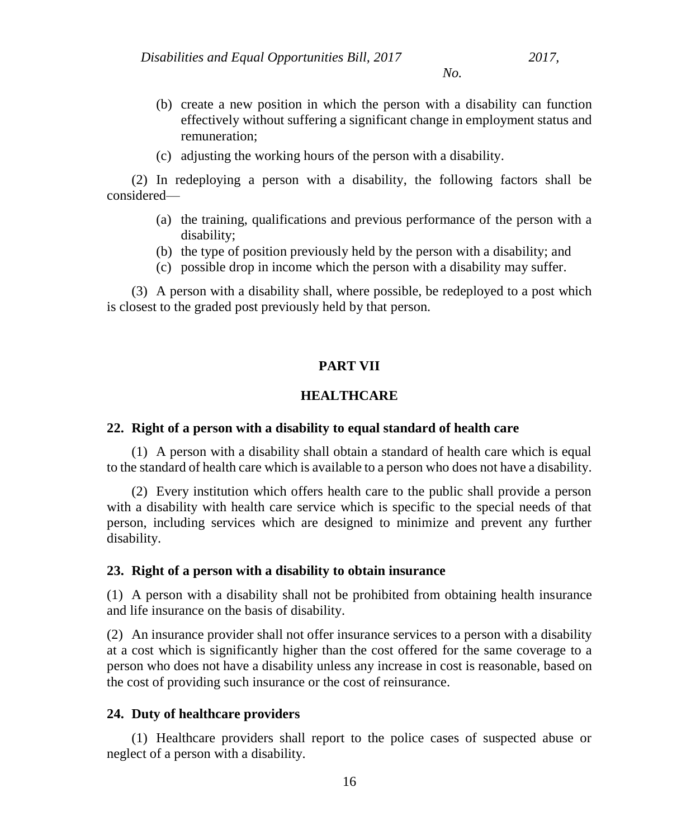- (b) create a new position in which the person with a disability can function effectively without suffering a significant change in employment status and remuneration;
- (c) adjusting the working hours of the person with a disability.

(2) In redeploying a person with a disability, the following factors shall be considered—

- (a) the training, qualifications and previous performance of the person with a disability;
- (b) the type of position previously held by the person with a disability; and
- (c) possible drop in income which the person with a disability may suffer.

(3) A person with a disability shall, where possible, be redeployed to a post which is closest to the graded post previously held by that person.

### **PART VII**

# **HEALTHCARE**

### **22. Right of a person with a disability to equal standard of health care**

(1) A person with a disability shall obtain a standard of health care which is equal to the standard of health care which is available to a person who does not have a disability.

(2) Every institution which offers health care to the public shall provide a person with a disability with health care service which is specific to the special needs of that person, including services which are designed to minimize and prevent any further disability.

#### **23. Right of a person with a disability to obtain insurance**

(1) A person with a disability shall not be prohibited from obtaining health insurance and life insurance on the basis of disability.

(2) An insurance provider shall not offer insurance services to a person with a disability at a cost which is significantly higher than the cost offered for the same coverage to a person who does not have a disability unless any increase in cost is reasonable, based on the cost of providing such insurance or the cost of reinsurance.

### **24. Duty of healthcare providers**

(1) Healthcare providers shall report to the police cases of suspected abuse or neglect of a person with a disability.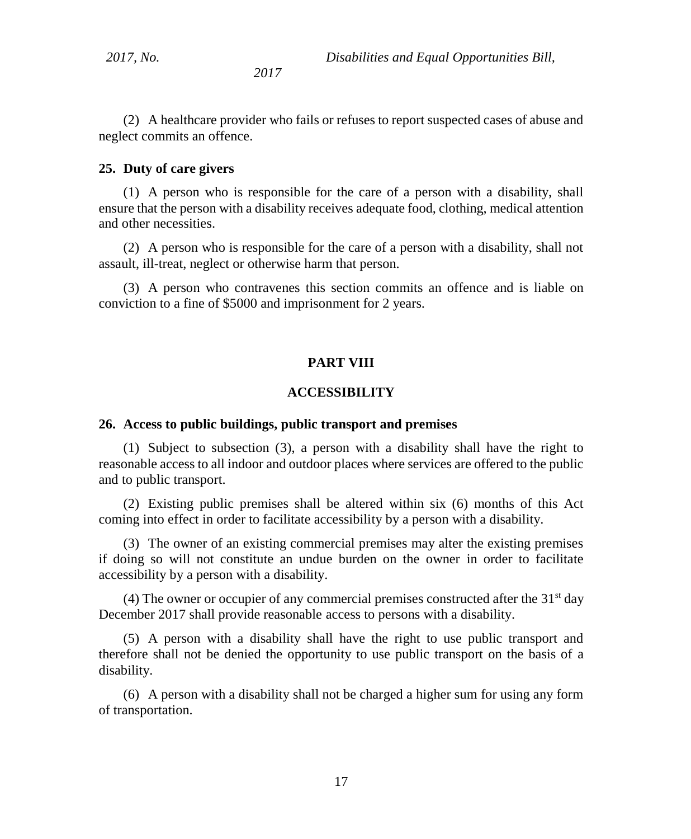(2) A healthcare provider who fails or refuses to report suspected cases of abuse and neglect commits an offence.

#### **25. Duty of care givers**

(1) A person who is responsible for the care of a person with a disability, shall ensure that the person with a disability receives adequate food, clothing, medical attention and other necessities.

(2) A person who is responsible for the care of a person with a disability, shall not assault, ill-treat, neglect or otherwise harm that person.

(3) A person who contravenes this section commits an offence and is liable on conviction to a fine of \$5000 and imprisonment for 2 years.

#### **PART VIII**

#### **ACCESSIBILITY**

#### **26. Access to public buildings, public transport and premises**

(1) Subject to subsection (3), a person with a disability shall have the right to reasonable access to all indoor and outdoor places where services are offered to the public and to public transport.

(2) Existing public premises shall be altered within six (6) months of this Act coming into effect in order to facilitate accessibility by a person with a disability.

(3) The owner of an existing commercial premises may alter the existing premises if doing so will not constitute an undue burden on the owner in order to facilitate accessibility by a person with a disability.

(4) The owner or occupier of any commercial premises constructed after the  $31<sup>st</sup>$  day December 2017 shall provide reasonable access to persons with a disability.

(5) A person with a disability shall have the right to use public transport and therefore shall not be denied the opportunity to use public transport on the basis of a disability.

(6) A person with a disability shall not be charged a higher sum for using any form of transportation.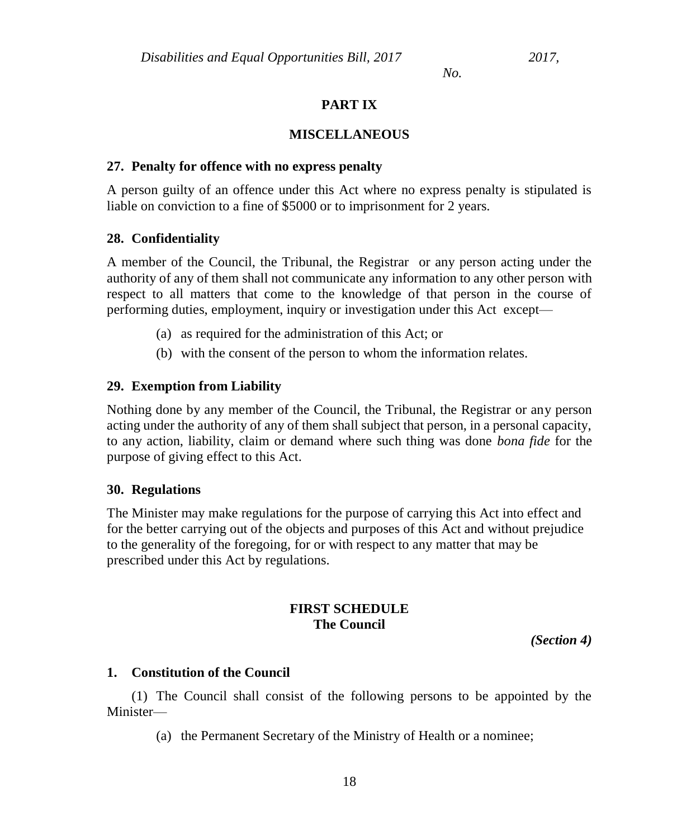# **PART IX**

### **MISCELLANEOUS**

### **27. Penalty for offence with no express penalty**

A person guilty of an offence under this Act where no express penalty is stipulated is liable on conviction to a fine of \$5000 or to imprisonment for 2 years.

### **28. Confidentiality**

A member of the Council, the Tribunal, the Registrar or any person acting under the authority of any of them shall not communicate any information to any other person with respect to all matters that come to the knowledge of that person in the course of performing duties, employment, inquiry or investigation under this Act except—

- (a) as required for the administration of this Act; or
- (b) with the consent of the person to whom the information relates.

# **29. Exemption from Liability**

Nothing done by any member of the Council, the Tribunal, the Registrar or any person acting under the authority of any of them shall subject that person, in a personal capacity, to any action, liability, claim or demand where such thing was done *bona fide* for the purpose of giving effect to this Act.

### **30. Regulations**

The Minister may make regulations for the purpose of carrying this Act into effect and for the better carrying out of the objects and purposes of this Act and without prejudice to the generality of the foregoing, for or with respect to any matter that may be prescribed under this Act by regulations.

# **FIRST SCHEDULE The Council**

*(Section 4)*

# **1. Constitution of the Council**

(1) The Council shall consist of the following persons to be appointed by the Minister—

(a) the Permanent Secretary of the Ministry of Health or a nominee;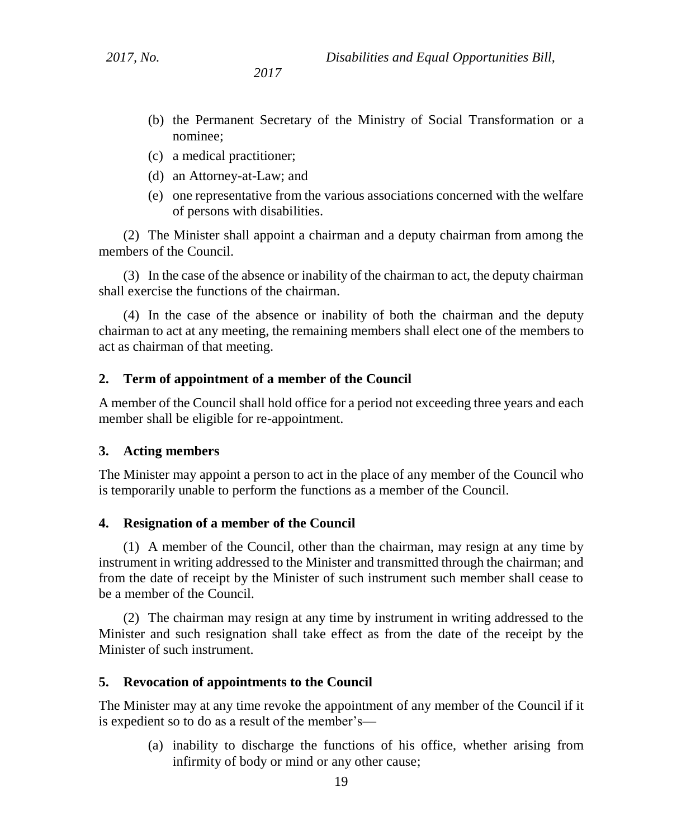- (b) the Permanent Secretary of the Ministry of Social Transformation or a nominee;
- (c) a medical practitioner;
- (d) an Attorney-at-Law; and
- (e) one representative from the various associations concerned with the welfare of persons with disabilities.

(2) The Minister shall appoint a chairman and a deputy chairman from among the members of the Council.

(3) In the case of the absence or inability of the chairman to act, the deputy chairman shall exercise the functions of the chairman.

(4) In the case of the absence or inability of both the chairman and the deputy chairman to act at any meeting, the remaining members shall elect one of the members to act as chairman of that meeting.

### **2. Term of appointment of a member of the Council**

A member of the Council shall hold office for a period not exceeding three years and each member shall be eligible for re-appointment.

### **3. Acting members**

The Minister may appoint a person to act in the place of any member of the Council who is temporarily unable to perform the functions as a member of the Council.

### **4. Resignation of a member of the Council**

(1) A member of the Council, other than the chairman, may resign at any time by instrument in writing addressed to the Minister and transmitted through the chairman; and from the date of receipt by the Minister of such instrument such member shall cease to be a member of the Council.

(2) The chairman may resign at any time by instrument in writing addressed to the Minister and such resignation shall take effect as from the date of the receipt by the Minister of such instrument.

#### **5. Revocation of appointments to the Council**

The Minister may at any time revoke the appointment of any member of the Council if it is expedient so to do as a result of the member's—

(a) inability to discharge the functions of his office, whether arising from infirmity of body or mind or any other cause;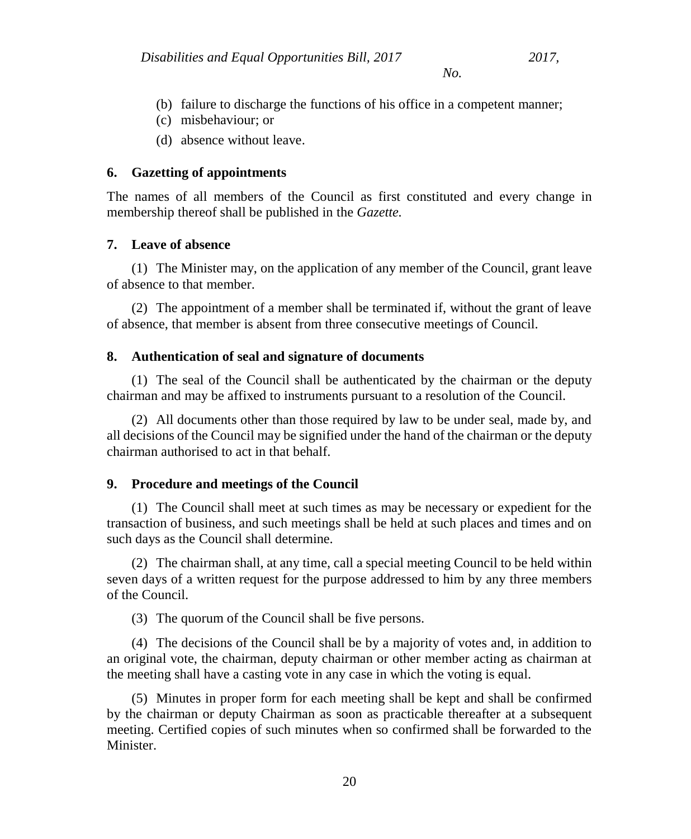- (b) failure to discharge the functions of his office in a competent manner;
- (c) misbehaviour; or
- (d) absence without leave.

### **6. Gazetting of appointments**

The names of all members of the Council as first constituted and every change in membership thereof shall be published in the *Gazette.*

### **7. Leave of absence**

(1) The Minister may, on the application of any member of the Council, grant leave of absence to that member.

(2) The appointment of a member shall be terminated if, without the grant of leave of absence, that member is absent from three consecutive meetings of Council.

### **8. Authentication of seal and signature of documents**

(1) The seal of the Council shall be authenticated by the chairman or the deputy chairman and may be affixed to instruments pursuant to a resolution of the Council.

(2) All documents other than those required by law to be under seal, made by, and all decisions of the Council may be signified under the hand of the chairman or the deputy chairman authorised to act in that behalf.

### **9. Procedure and meetings of the Council**

(1) The Council shall meet at such times as may be necessary or expedient for the transaction of business, and such meetings shall be held at such places and times and on such days as the Council shall determine.

(2) The chairman shall, at any time, call a special meeting Council to be held within seven days of a written request for the purpose addressed to him by any three members of the Council.

(3) The quorum of the Council shall be five persons.

(4) The decisions of the Council shall be by a majority of votes and, in addition to an original vote, the chairman, deputy chairman or other member acting as chairman at the meeting shall have a casting vote in any case in which the voting is equal.

(5) Minutes in proper form for each meeting shall be kept and shall be confirmed by the chairman or deputy Chairman as soon as practicable thereafter at a subsequent meeting. Certified copies of such minutes when so confirmed shall be forwarded to the **Minister**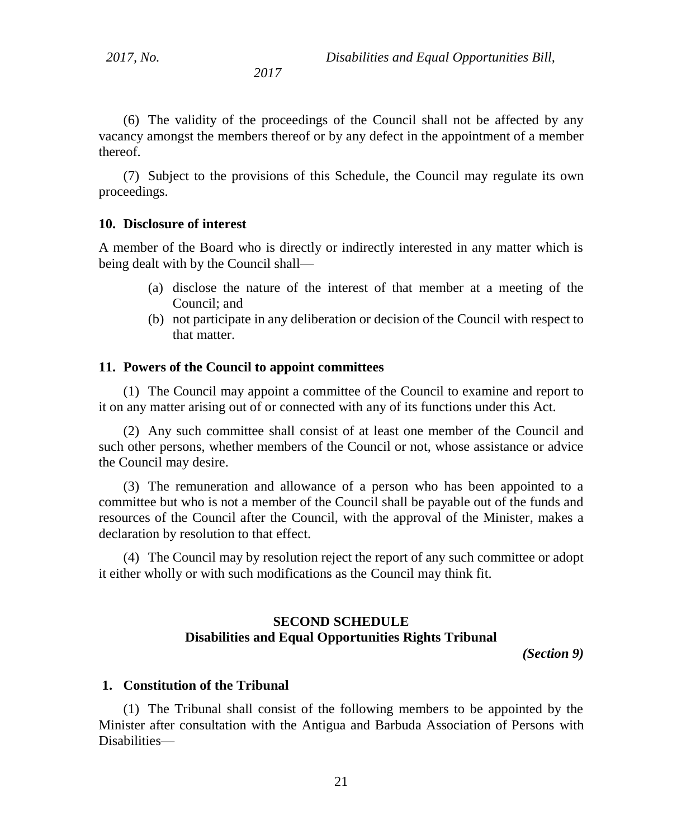(6) The validity of the proceedings of the Council shall not be affected by any vacancy amongst the members thereof or by any defect in the appointment of a member thereof.

(7) Subject to the provisions of this Schedule, the Council may regulate its own proceedings.

#### **10. Disclosure of interest**

A member of the Board who is directly or indirectly interested in any matter which is being dealt with by the Council shall—

- (a) disclose the nature of the interest of that member at a meeting of the Council; and
- (b) not participate in any deliberation or decision of the Council with respect to that matter.

#### **11. Powers of the Council to appoint committees**

(1) The Council may appoint a committee of the Council to examine and report to it on any matter arising out of or connected with any of its functions under this Act.

(2) Any such committee shall consist of at least one member of the Council and such other persons, whether members of the Council or not, whose assistance or advice the Council may desire.

(3) The remuneration and allowance of a person who has been appointed to a committee but who is not a member of the Council shall be payable out of the funds and resources of the Council after the Council, with the approval of the Minister, makes a declaration by resolution to that effect.

(4) The Council may by resolution reject the report of any such committee or adopt it either wholly or with such modifications as the Council may think fit.

# **SECOND SCHEDULE Disabilities and Equal Opportunities Rights Tribunal**

*(Section 9)*

#### **1. Constitution of the Tribunal**

(1) The Tribunal shall consist of the following members to be appointed by the Minister after consultation with the Antigua and Barbuda Association of Persons with Disabilities—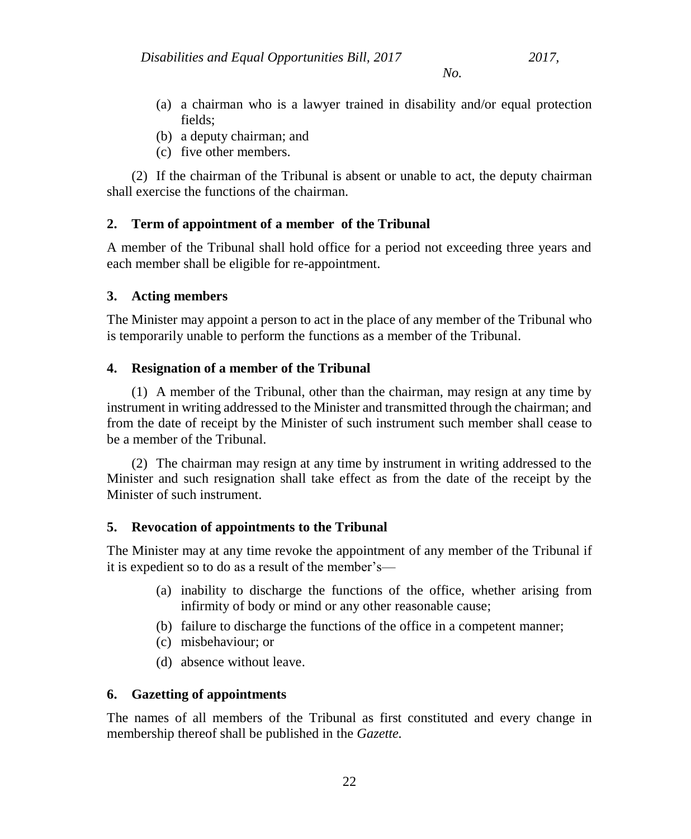- (a) a chairman who is a lawyer trained in disability and/or equal protection fields;
- (b) a deputy chairman; and
- (c) five other members.

(2) If the chairman of the Tribunal is absent or unable to act, the deputy chairman shall exercise the functions of the chairman.

# **2. Term of appointment of a member of the Tribunal**

A member of the Tribunal shall hold office for a period not exceeding three years and each member shall be eligible for re-appointment.

# **3. Acting members**

The Minister may appoint a person to act in the place of any member of the Tribunal who is temporarily unable to perform the functions as a member of the Tribunal.

# **4. Resignation of a member of the Tribunal**

(1) A member of the Tribunal, other than the chairman, may resign at any time by instrument in writing addressed to the Minister and transmitted through the chairman; and from the date of receipt by the Minister of such instrument such member shall cease to be a member of the Tribunal.

(2) The chairman may resign at any time by instrument in writing addressed to the Minister and such resignation shall take effect as from the date of the receipt by the Minister of such instrument.

# **5. Revocation of appointments to the Tribunal**

The Minister may at any time revoke the appointment of any member of the Tribunal if it is expedient so to do as a result of the member's—

- (a) inability to discharge the functions of the office, whether arising from infirmity of body or mind or any other reasonable cause;
- (b) failure to discharge the functions of the office in a competent manner;
- (c) misbehaviour; or
- (d) absence without leave.

# **6. Gazetting of appointments**

The names of all members of the Tribunal as first constituted and every change in membership thereof shall be published in the *Gazette.*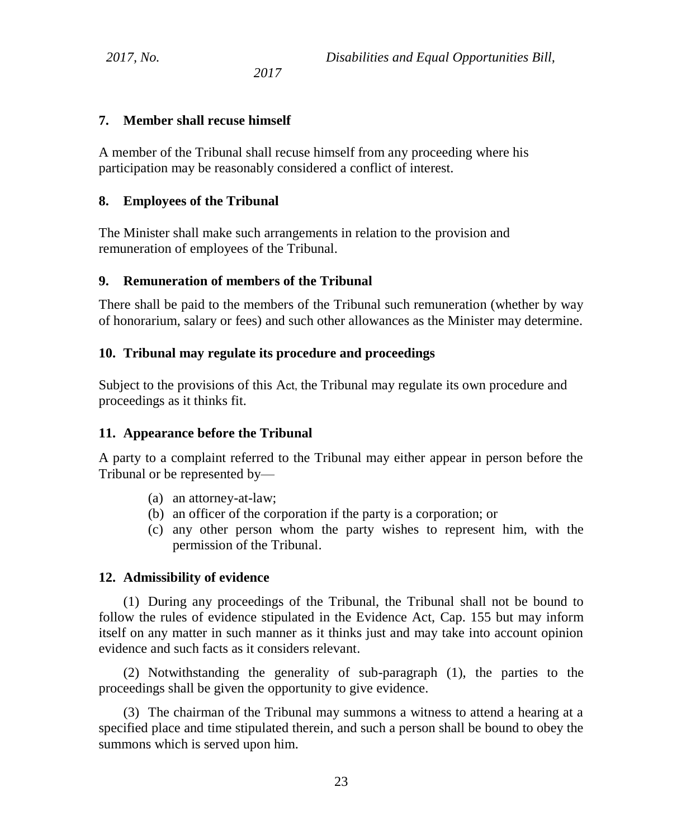### **7. Member shall recuse himself**

A member of the Tribunal shall recuse himself from any proceeding where his participation may be reasonably considered a conflict of interest.

### **8. Employees of the Tribunal**

The Minister shall make such arrangements in relation to the provision and remuneration of employees of the Tribunal.

### **9. Remuneration of members of the Tribunal**

There shall be paid to the members of the Tribunal such remuneration (whether by way of honorarium, salary or fees) and such other allowances as the Minister may determine.

### **10. Tribunal may regulate its procedure and proceedings**

Subject to the provisions of this Act, the Tribunal may regulate its own procedure and proceedings as it thinks fit.

### **11. Appearance before the Tribunal**

A party to a complaint referred to the Tribunal may either appear in person before the Tribunal or be represented by—

- (a) an attorney-at-law;
- (b) an officer of the corporation if the party is a corporation; or
- (c) any other person whom the party wishes to represent him, with the permission of the Tribunal.

### **12. Admissibility of evidence**

(1) During any proceedings of the Tribunal, the Tribunal shall not be bound to follow the rules of evidence stipulated in the Evidence Act, Cap. 155 but may inform itself on any matter in such manner as it thinks just and may take into account opinion evidence and such facts as it considers relevant.

(2) Notwithstanding the generality of sub-paragraph (1), the parties to the proceedings shall be given the opportunity to give evidence.

(3) The chairman of the Tribunal may summons a witness to attend a hearing at a specified place and time stipulated therein, and such a person shall be bound to obey the summons which is served upon him.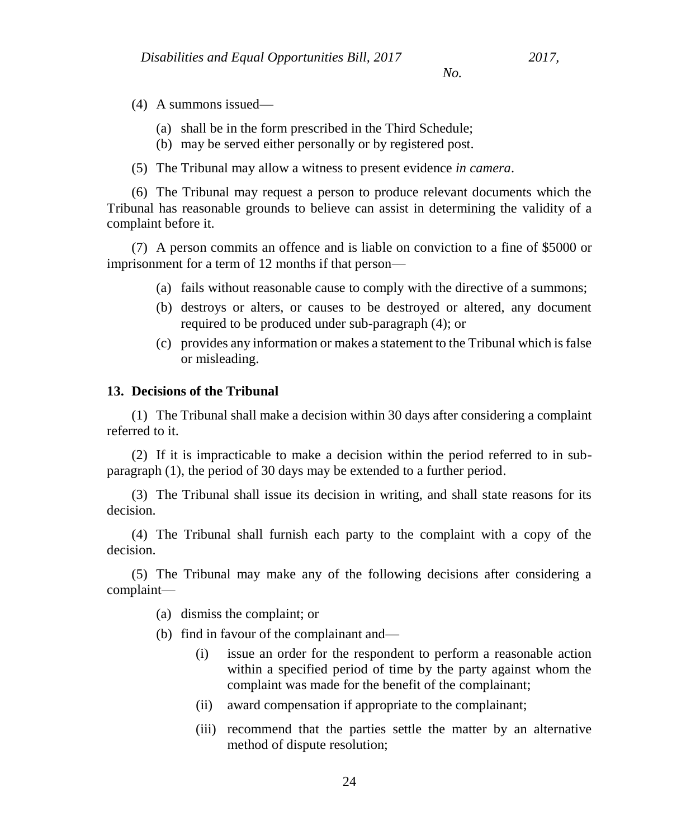- (4) A summons issued—
	- (a) shall be in the form prescribed in the Third Schedule;
	- (b) may be served either personally or by registered post.
- (5) The Tribunal may allow a witness to present evidence *in camera*.

(6) The Tribunal may request a person to produce relevant documents which the Tribunal has reasonable grounds to believe can assist in determining the validity of a complaint before it.

(7) A person commits an offence and is liable on conviction to a fine of \$5000 or imprisonment for a term of 12 months if that person—

- (a) fails without reasonable cause to comply with the directive of a summons;
- (b) destroys or alters, or causes to be destroyed or altered, any document required to be produced under sub-paragraph (4); or
- (c) provides any information or makes a statement to the Tribunal which is false or misleading.

#### **13. Decisions of the Tribunal**

(1) The Tribunal shall make a decision within 30 days after considering a complaint referred to it.

(2) If it is impracticable to make a decision within the period referred to in subparagraph (1), the period of 30 days may be extended to a further period.

(3) The Tribunal shall issue its decision in writing, and shall state reasons for its decision.

(4) The Tribunal shall furnish each party to the complaint with a copy of the decision.

(5) The Tribunal may make any of the following decisions after considering a complaint—

(a) dismiss the complaint; or

(b) find in favour of the complainant and—

- (i) issue an order for the respondent to perform a reasonable action within a specified period of time by the party against whom the complaint was made for the benefit of the complainant;
- (ii) award compensation if appropriate to the complainant;
- (iii) recommend that the parties settle the matter by an alternative method of dispute resolution;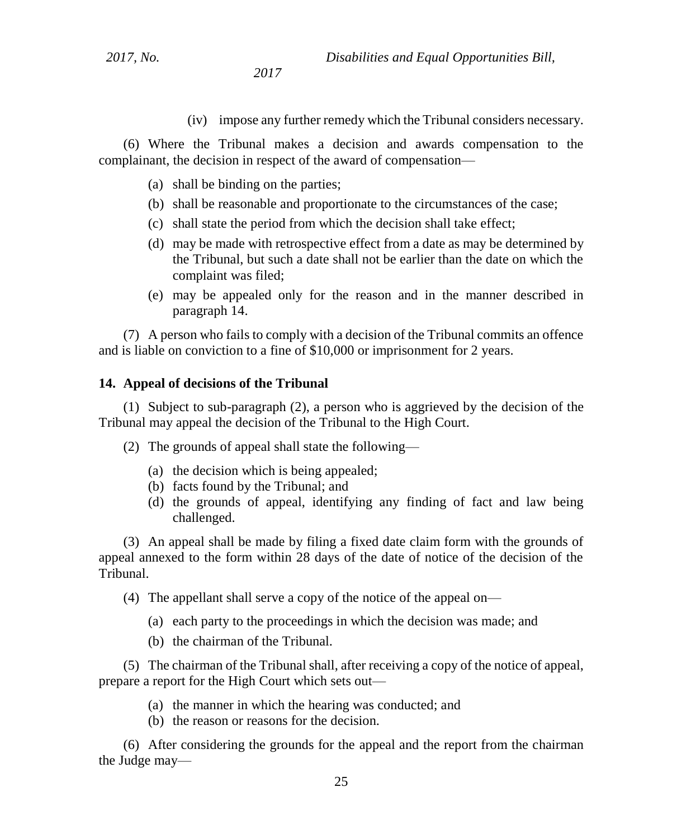(iv) impose any further remedy which the Tribunal considers necessary.

(6) Where the Tribunal makes a decision and awards compensation to the complainant, the decision in respect of the award of compensation—

- (a) shall be binding on the parties;
- (b) shall be reasonable and proportionate to the circumstances of the case;
- (c) shall state the period from which the decision shall take effect;
- (d) may be made with retrospective effect from a date as may be determined by the Tribunal, but such a date shall not be earlier than the date on which the complaint was filed;
- (e) may be appealed only for the reason and in the manner described in paragraph 14.

(7) A person who fails to comply with a decision of the Tribunal commits an offence and is liable on conviction to a fine of \$10,000 or imprisonment for 2 years.

#### **14. Appeal of decisions of the Tribunal**

(1) Subject to sub-paragraph (2), a person who is aggrieved by the decision of the Tribunal may appeal the decision of the Tribunal to the High Court.

(2) The grounds of appeal shall state the following—

- (a) the decision which is being appealed;
- (b) facts found by the Tribunal; and
- (d) the grounds of appeal, identifying any finding of fact and law being challenged.

(3) An appeal shall be made by filing a fixed date claim form with the grounds of appeal annexed to the form within 28 days of the date of notice of the decision of the Tribunal.

(4) The appellant shall serve a copy of the notice of the appeal on—

(a) each party to the proceedings in which the decision was made; and

(b) the chairman of the Tribunal.

(5) The chairman of the Tribunal shall, after receiving a copy of the notice of appeal, prepare a report for the High Court which sets out—

- (a) the manner in which the hearing was conducted; and
- (b) the reason or reasons for the decision.

(6) After considering the grounds for the appeal and the report from the chairman the Judge may—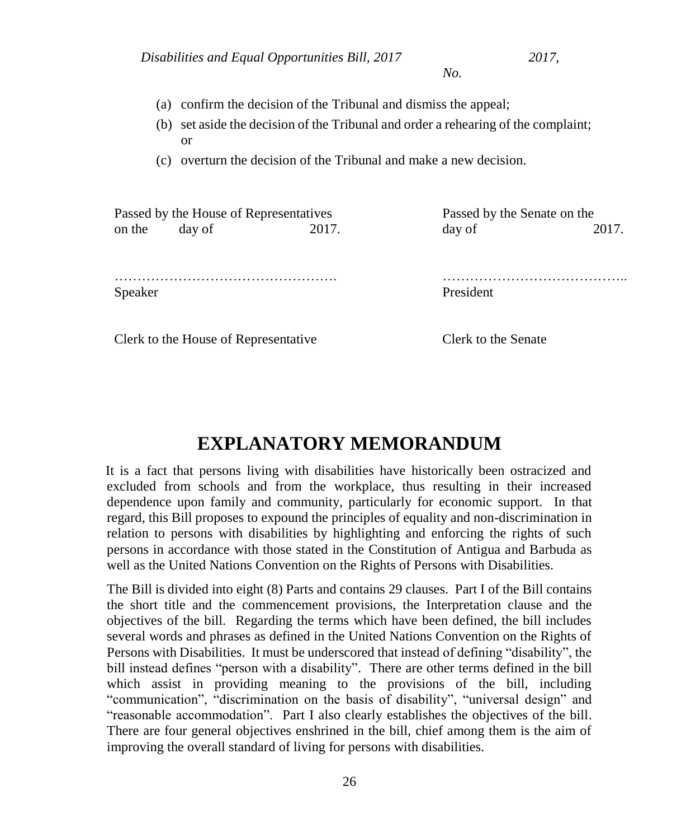- (a) confirm the decision of the Tribunal and dismiss the appeal;
- (b) set aside the decision of the Tribunal and order a rehearing of the complaint; or
- (c) overturn the decision of the Tribunal and make a new decision.

Passed by the House of Representatives on the day of 2017. Passed by the Senate on the day of 2017.

Speaker

…………………………………..

Clerk to the House of Representative

Clerk to the Senate

President

# **EXPLANATORY MEMORANDUM**

It is a fact that persons living with disabilities have historically been ostracized and excluded from schools and from the workplace, thus resulting in their increased dependence upon family and community, particularly for economic support. In that regard, this Bill proposes to expound the principles of equality and non-discrimination in relation to persons with disabilities by highlighting and enforcing the rights of such persons in accordance with those stated in the Constitution of Antigua and Barbuda as well as the United Nations Convention on the Rights of Persons with Disabilities.

The Bill is divided into eight (8) Parts and contains 29 clauses. Part I of the Bill contains the short title and the commencement provisions, the Interpretation clause and the objectives of the bill. Regarding the terms which have been defined, the bill includes several words and phrases as defined in the United Nations Convention on the Rights of Persons with Disabilities. It must be underscored that instead of defining "disability", the bill instead defines "person with a disability". There are other terms defined in the bill which assist in providing meaning to the provisions of the bill, including "communication", "discrimination on the basis of disability", "universal design" and "reasonable accommodation". Part I also clearly establishes the objectives of the bill. There are four general objectives enshrined in the bill, chief among them is the aim of improving the overall standard of living for persons with disabilities.